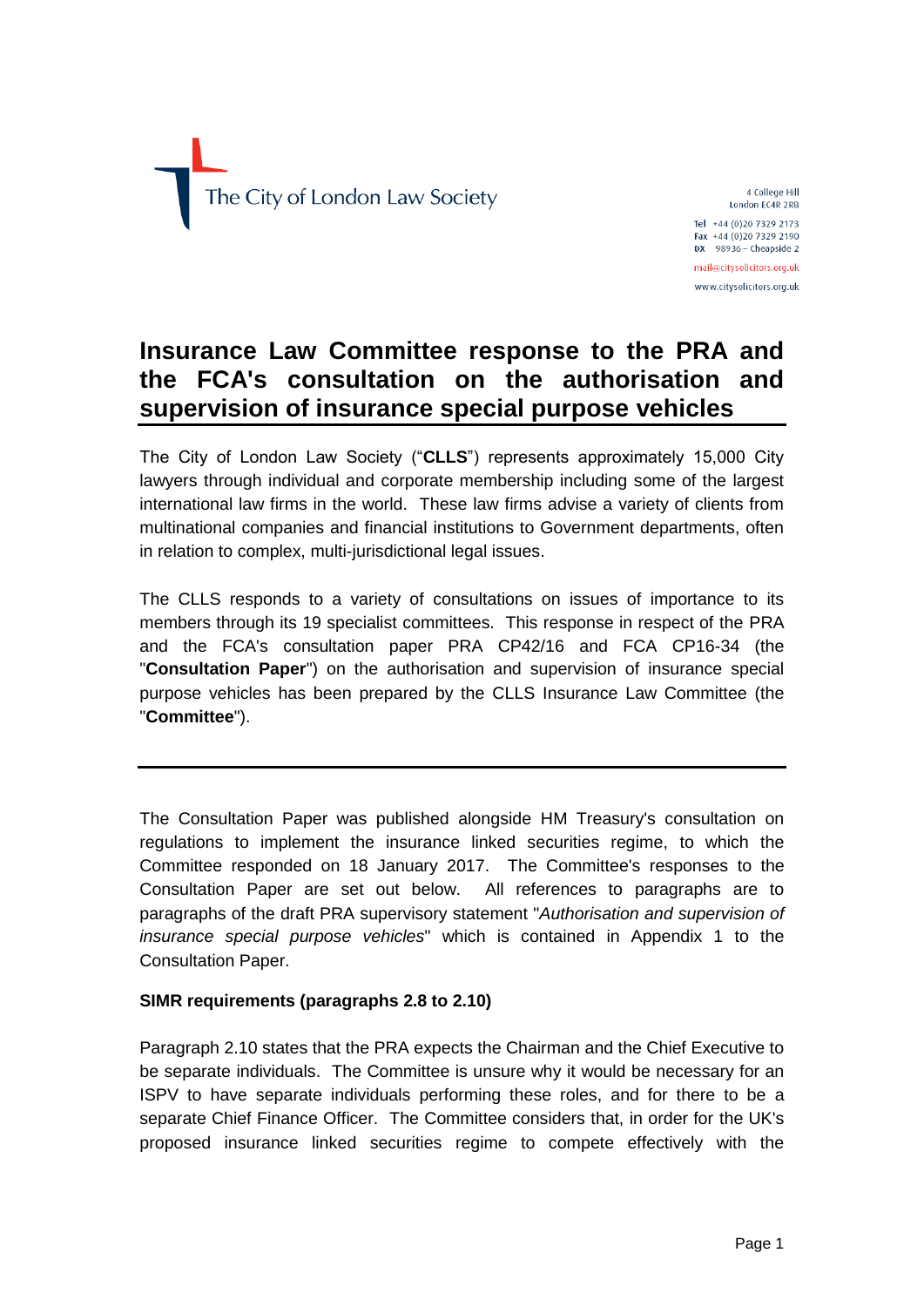

4 College Hill London EC4R 2RB Tel +44 (0)20 7329 2173 Fax +44 (0)20 7329 2190  $DX$  98936 - Cheapside 2 mail@citysolicitors.org.uk www.citysolicitors.org.uk

# **Insurance Law Committee response to the PRA and the FCA's consultation on the authorisation and supervision of insurance special purpose vehicles**

The City of London Law Society ("**CLLS**") represents approximately 15,000 City lawyers through individual and corporate membership including some of the largest international law firms in the world. These law firms advise a variety of clients from multinational companies and financial institutions to Government departments, often in relation to complex, multi-jurisdictional legal issues.

The CLLS responds to a variety of consultations on issues of importance to its members through its 19 specialist committees. This response in respect of the PRA and the FCA's consultation paper PRA CP42/16 and FCA CP16-34 (the "**Consultation Paper**") on the authorisation and supervision of insurance special purpose vehicles has been prepared by the CLLS Insurance Law Committee (the "**Committee**").

The Consultation Paper was published alongside HM Treasury's consultation on regulations to implement the insurance linked securities regime, to which the Committee responded on 18 January 2017. The Committee's responses to the Consultation Paper are set out below. All references to paragraphs are to paragraphs of the draft PRA supervisory statement "*Authorisation and supervision of insurance special purpose vehicles*" which is contained in Appendix 1 to the Consultation Paper.

## **SIMR requirements (paragraphs 2.8 to 2.10)**

Paragraph 2.10 states that the PRA expects the Chairman and the Chief Executive to be separate individuals. The Committee is unsure why it would be necessary for an ISPV to have separate individuals performing these roles, and for there to be a separate Chief Finance Officer. The Committee considers that, in order for the UK's proposed insurance linked securities regime to compete effectively with the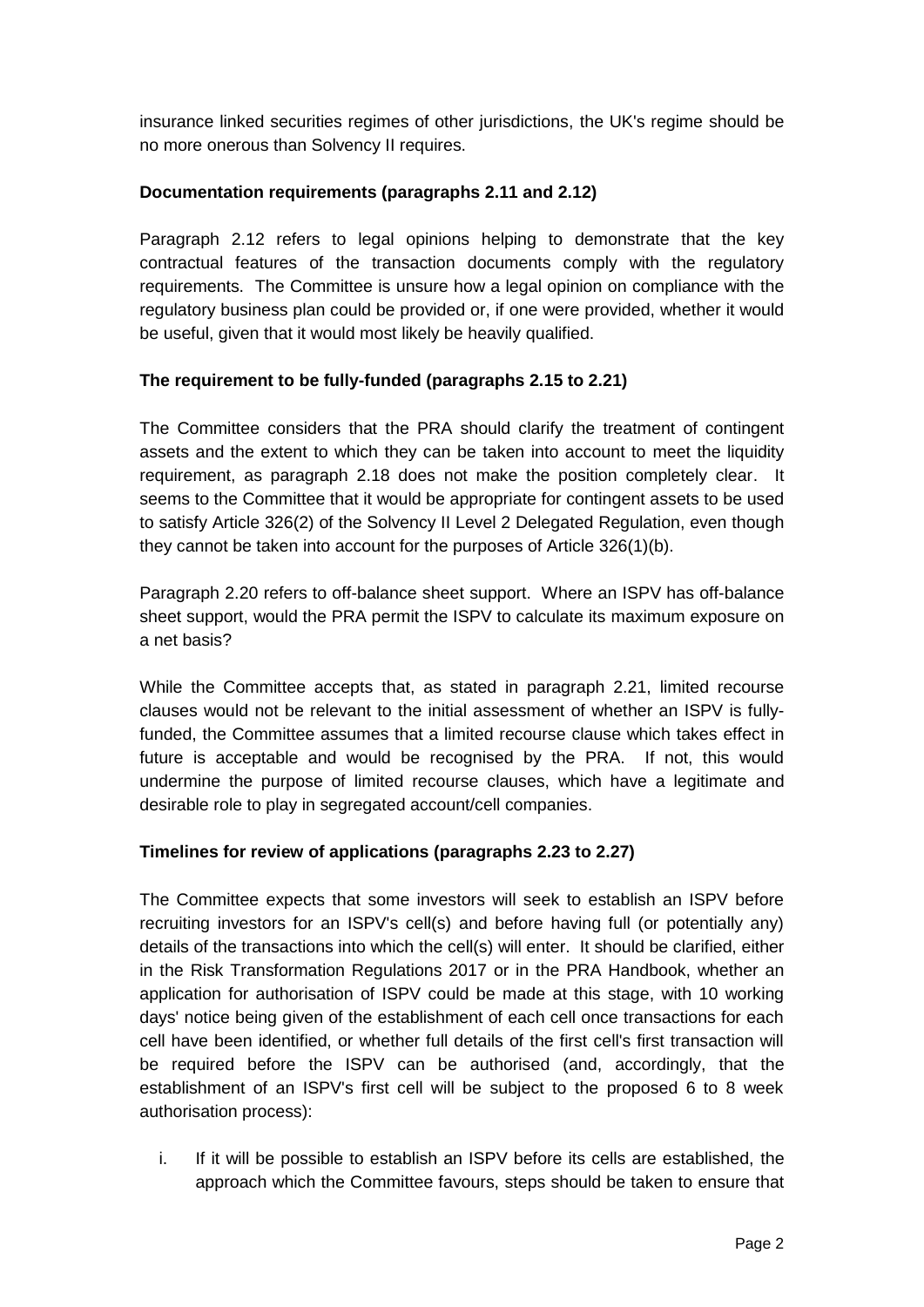insurance linked securities regimes of other jurisdictions, the UK's regime should be no more onerous than Solvency II requires.

## **Documentation requirements (paragraphs 2.11 and 2.12)**

Paragraph 2.12 refers to legal opinions helping to demonstrate that the key contractual features of the transaction documents comply with the regulatory requirements. The Committee is unsure how a legal opinion on compliance with the regulatory business plan could be provided or, if one were provided, whether it would be useful, given that it would most likely be heavily qualified.

# **The requirement to be fully-funded (paragraphs 2.15 to 2.21)**

The Committee considers that the PRA should clarify the treatment of contingent assets and the extent to which they can be taken into account to meet the liquidity requirement, as paragraph 2.18 does not make the position completely clear. It seems to the Committee that it would be appropriate for contingent assets to be used to satisfy Article 326(2) of the Solvency II Level 2 Delegated Regulation, even though they cannot be taken into account for the purposes of Article 326(1)(b).

Paragraph 2.20 refers to off-balance sheet support. Where an ISPV has off-balance sheet support, would the PRA permit the ISPV to calculate its maximum exposure on a net basis?

While the Committee accepts that, as stated in paragraph 2.21, limited recourse clauses would not be relevant to the initial assessment of whether an ISPV is fullyfunded, the Committee assumes that a limited recourse clause which takes effect in future is acceptable and would be recognised by the PRA. If not, this would undermine the purpose of limited recourse clauses, which have a legitimate and desirable role to play in segregated account/cell companies.

# **Timelines for review of applications (paragraphs 2.23 to 2.27)**

The Committee expects that some investors will seek to establish an ISPV before recruiting investors for an ISPV's cell(s) and before having full (or potentially any) details of the transactions into which the cell(s) will enter. It should be clarified, either in the Risk Transformation Regulations 2017 or in the PRA Handbook, whether an application for authorisation of ISPV could be made at this stage, with 10 working days' notice being given of the establishment of each cell once transactions for each cell have been identified, or whether full details of the first cell's first transaction will be required before the ISPV can be authorised (and, accordingly, that the establishment of an ISPV's first cell will be subject to the proposed 6 to 8 week authorisation process):

i. If it will be possible to establish an ISPV before its cells are established, the approach which the Committee favours, steps should be taken to ensure that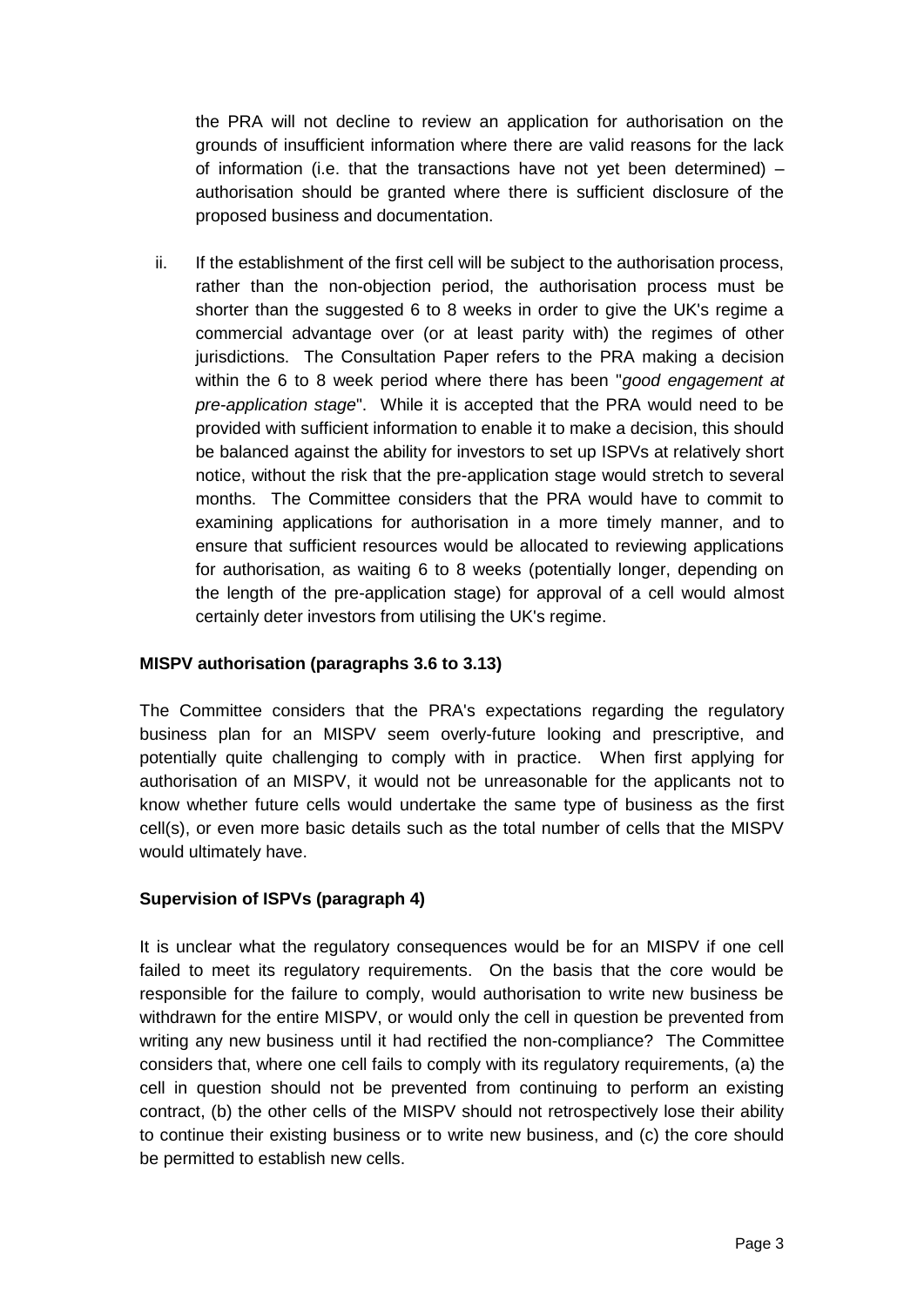the PRA will not decline to review an application for authorisation on the grounds of insufficient information where there are valid reasons for the lack of information (i.e. that the transactions have not yet been determined) – authorisation should be granted where there is sufficient disclosure of the proposed business and documentation.

ii. If the establishment of the first cell will be subject to the authorisation process, rather than the non-objection period, the authorisation process must be shorter than the suggested 6 to 8 weeks in order to give the UK's regime a commercial advantage over (or at least parity with) the regimes of other jurisdictions. The Consultation Paper refers to the PRA making a decision within the 6 to 8 week period where there has been "*good engagement at pre-application stage*". While it is accepted that the PRA would need to be provided with sufficient information to enable it to make a decision, this should be balanced against the ability for investors to set up ISPVs at relatively short notice, without the risk that the pre-application stage would stretch to several months. The Committee considers that the PRA would have to commit to examining applications for authorisation in a more timely manner, and to ensure that sufficient resources would be allocated to reviewing applications for authorisation, as waiting 6 to 8 weeks (potentially longer, depending on the length of the pre-application stage) for approval of a cell would almost certainly deter investors from utilising the UK's regime.

### **MISPV authorisation (paragraphs 3.6 to 3.13)**

The Committee considers that the PRA's expectations regarding the regulatory business plan for an MISPV seem overly-future looking and prescriptive, and potentially quite challenging to comply with in practice. When first applying for authorisation of an MISPV, it would not be unreasonable for the applicants not to know whether future cells would undertake the same type of business as the first cell(s), or even more basic details such as the total number of cells that the MISPV would ultimately have.

#### **Supervision of ISPVs (paragraph 4)**

It is unclear what the regulatory consequences would be for an MISPV if one cell failed to meet its regulatory requirements. On the basis that the core would be responsible for the failure to comply, would authorisation to write new business be withdrawn for the entire MISPV, or would only the cell in question be prevented from writing any new business until it had rectified the non-compliance? The Committee considers that, where one cell fails to comply with its regulatory requirements, (a) the cell in question should not be prevented from continuing to perform an existing contract, (b) the other cells of the MISPV should not retrospectively lose their ability to continue their existing business or to write new business, and (c) the core should be permitted to establish new cells.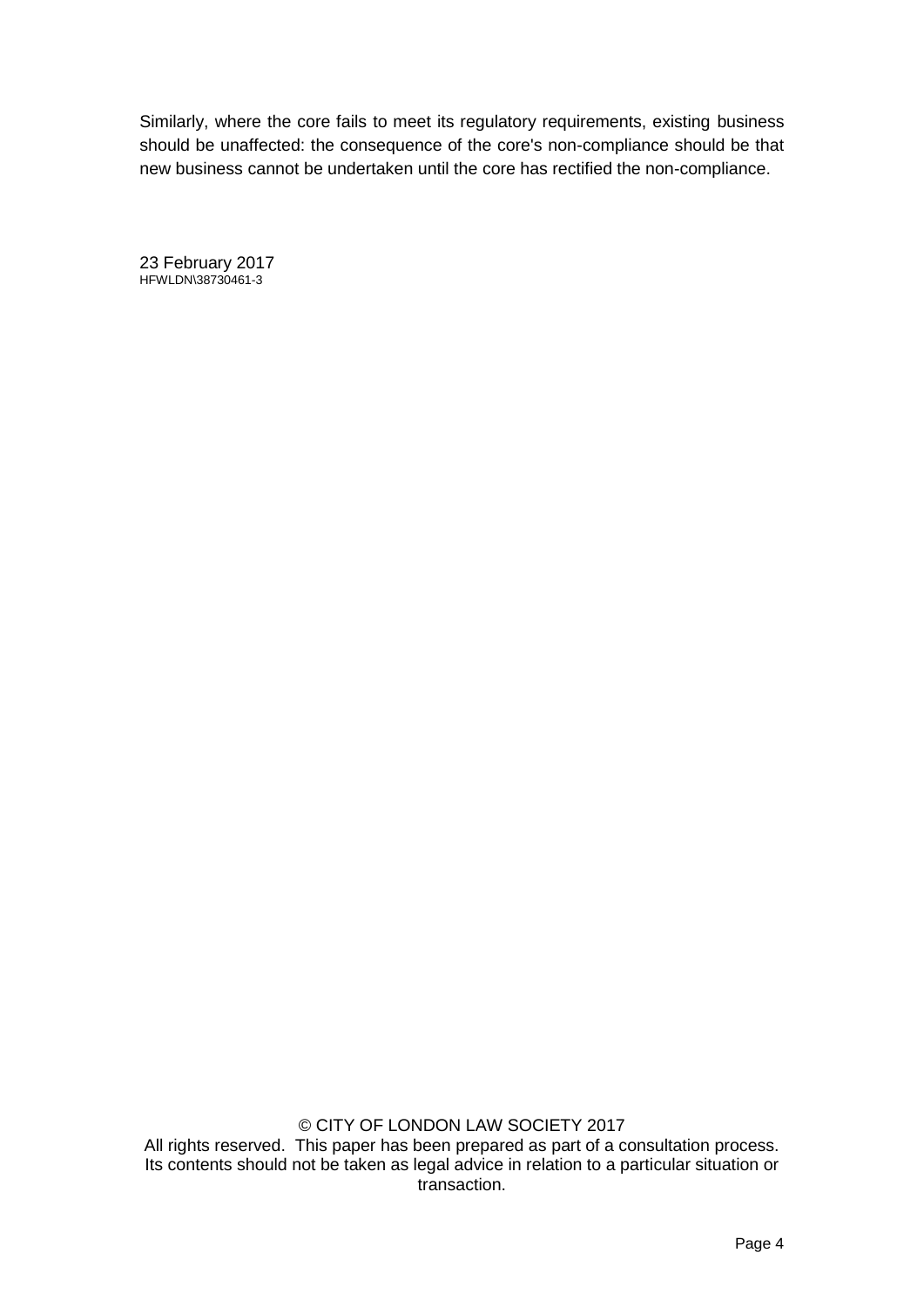Similarly, where the core fails to meet its regulatory requirements, existing business should be unaffected: the consequence of the core's non-compliance should be that new business cannot be undertaken until the core has rectified the non-compliance.

23 February 2017 HFWLDN\38730461-3

© CITY OF LONDON LAW SOCIETY 2017 All rights reserved. This paper has been prepared as part of a consultation process. Its contents should not be taken as legal advice in relation to a particular situation or transaction.